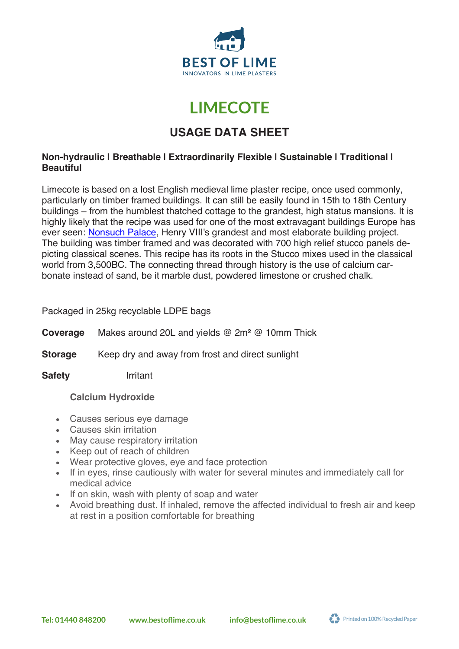

# **LIMECOTE LIMECOTE**

## **USAGE DATA SHEET**

#### **Non-hydraulic | Breathable | Extraordinarily Flexible | Sustainable | Traditional | Beautiful**

Limecote is based on a lost English medieval lime plaster recipe, once used commonly, particularly on timber framed buildings. It can still be easily found in 15th to 18th Century buildings – from the humblest thatched cottage to the grandest, high status mansions. It is highly likely that the recipe was used for one of the most extravagant buildings Europe has ever seen: Nonsuch Palace, Henry VIII's grandest and most elaborate building project. The building was timber framed and was decorated with 700 high relief stucco panels depicting classical scenes. This recipe has its roots in the Stucco mixes used in the classical world from 3,500BC. The connecting thread through history is the use of calcium carbonate instead of sand, be it marble dust, powdered limestone or crushed chalk.

Packaged in 25kg recyclable LDPE bags

**Coverage** Makes around 20L and yields @ 2m² @ 10mm Thick

**Storage** Keep dry and away from frost and direct sunlight

**Safety** Irritant

#### **Calcium Hydroxide**

- Causes serious eye damage
- Causes skin irritation
- May cause respiratory irritation
- Keep out of reach of children
- Wear protective gloves, eye and face protection
- If in eyes, rinse cautiously with water for several minutes and immediately call for medical advice
- If on skin, wash with plenty of soap and water
- Avoid breathing dust. If inhaled, remove the affected individual to fresh air and keep at rest in a position comfortable for breathing